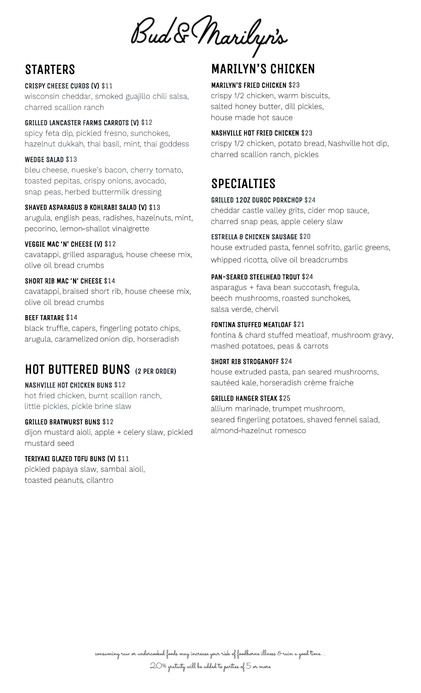Bud & Marilyn's

# **STARTERS**

#### CRISPY CHEESE CURDS (V) \$11

wisconsin cheddar, smoked guajillo chili salsa, charred scallion ranch

#### GRILLED LANCASTER FARMS CARROTS (V) \$12

spicy feta dip, pickled fresno, sunchokes, hazelnut dukkah, thai basil, mint, thai goddess

#### WEDGE SALAD \$13

bleu cheese, nueske's bacon, cherry tomato, toasted pepitas, crispy onions, avocado, snap peas, herbed buttermilk dressing

#### SHAVED ASPARAGUS & KOHLRABI SALAD (V) \$13

arugula, english peas, radishes, hazelnuts, mint, pecorino, lemon-shallot vinaigrette

#### VEGGIE MAC 'N' CHEESE (V) \$12

cavatappi, grilled asparagus, house cheese mix, olive oil bread crumbs

#### SHORT RIB MAC 'N' CHEESE \$14

cavatappi, braised short rib, house cheese mix, olive oil bread crumbs

#### BEEF TARTARE \$14

black truffle, capers, fingerling potato chips, arugula, caramelized onion dip, horseradish

### HOT BUTTERED BUNS **(**2 PER ORDER**)**

#### NASHVILLE HOT CHICKEN BUNS \$12

hot fried chicken, burnt scallion ranch. little pickles, pickle brine slaw

#### GRILLED BRATWURST BUNS \$12

dijon mustard aioli, apple + celery slaw, pickled mustard seed

#### TERIYAKI GLAZED TOFU BUNS (V) \$11

pickled papaya slaw, sambal aioli, toasted peanuts, cilantro

### MARILYN'S CHICKEN

#### MARILYN'S FRIED CHICKEN \$23

crispy 1/2 chicken, warm biscuits, salted honey butter, dill pickles, house made hot sauce

#### NASHVILLE HOT FRIED CHICKEN \$23

crispy 1/2 chicken, potato bread, Nashville hot dip, charred scallion ranch, pickles

## SPECIALTIES

#### GRILLED 12OZ DUROC PORKCHOP \$24

cheddar castle valley grits, cider mop sauce, charred snap peas, apple celery slaw

#### ESTRELLA & CHICKEN SAUSAGE \$20

house extruded pasta, fennel sofrito, garlic greens, whipped ricotta, olive oil breadcrumbs

#### PAN-SEARED STEELHEAD TROUT \$24

asparagus + fava bean succotash, fregula, beech mushrooms, roasted sunchokes, salsa verde, chervil

#### FONTINA STUFFED MEATLOAF \$21

fontina & chard stuffed meatloaf, mushroom gravy, mashed potatoes, peas & carrots

#### SHORT RIB STROGANOFF \$24

house extruded pasta, pan seared mushrooms, sautéed kale, horseradish crème fraiche

#### GRILLED HANGER STEAK \$25

allium marinade, trumpet mushroom, seared fingerling potatoes, shaved fennel salad, almond-hazelnut romesco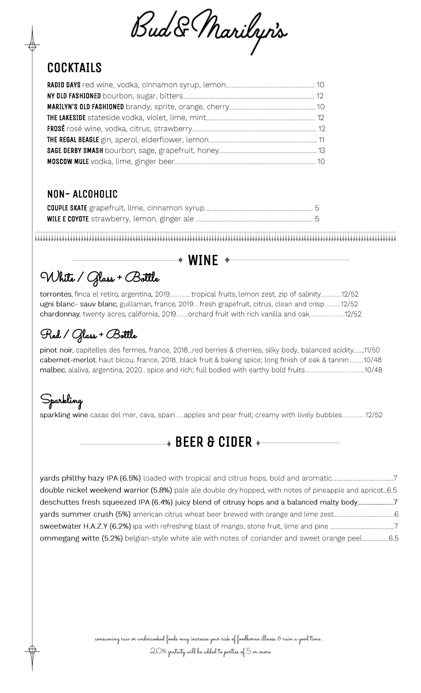Bud & Marilyn's

# **COCKTAILS**

### NON- ALCOHOLIC

## $+$  WINE  $+$

White / Glass + Bottle

torrontes, finca el retiro, argentina, 2019..................tropical fruits, lemon zest, zip of salinity....................12/52 ugni blanc- sauv blanc, guillaman, france, 2019.....fresh grapefruit, citrus, clean and crisp.............12/52 chardonnay, twenty acres, california, 2019............orchard fruit with rich vanilla and oak.............................12/52

# Red / Glass + Bottle

pinot noir, capitelles des fermes, france, 2018...red berries & cherries, silky body, balanced acidity.......11/50 cabernet-merlot, haut bicou, france, 2018. black fruit & baking spice; long finish of oak & tannin............10/48 

# Sparkling

sparkling wine casas del mer, cava, spain........apples and pear fruit; creamy with lively bubbles...................12/52

### $\rightarrow$  BEER & CIDER  $\longleftarrow$

| double nickel weekend warrior (5.8%) pale ale double dry hopped, with notes of pineapple and apricot6.5 |  |
|---------------------------------------------------------------------------------------------------------|--|
|                                                                                                         |  |
|                                                                                                         |  |
|                                                                                                         |  |
| ommegang witte (5.2%) belgian-style white ale with notes of coriander and sweet orange peel6.5          |  |